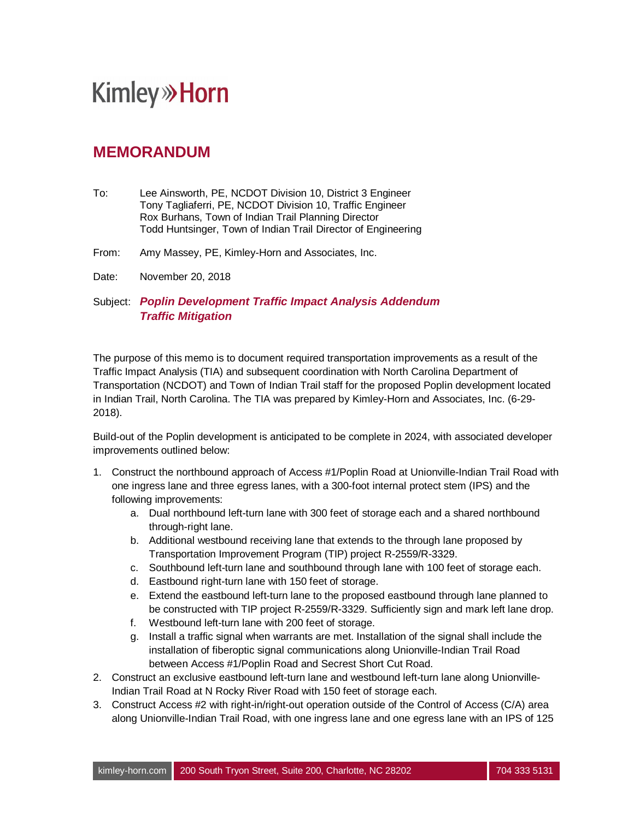## **Kimley»Horn**

## **MEMORANDUM**

- To: Lee Ainsworth, PE, NCDOT Division 10, District 3 Engineer Tony Tagliaferri, PE, NCDOT Division 10, Traffic Engineer Rox Burhans, Town of Indian Trail Planning Director Todd Huntsinger, Town of Indian Trail Director of Engineering
- From: Amy Massey, PE, Kimley-Horn and Associates, Inc.
- Date: November 20, 2018

Subject: *Poplin Development Traffic Impact Analysis Addendum Traffic Mitigation*

The purpose of this memo is to document required transportation improvements as a result of the Traffic Impact Analysis (TIA) and subsequent coordination with North Carolina Department of Transportation (NCDOT) and Town of Indian Trail staff for the proposed Poplin development located in Indian Trail, North Carolina. The TIA was prepared by Kimley-Horn and Associates, Inc. (6-29- 2018).

Build-out of the Poplin development is anticipated to be complete in 2024, with associated developer improvements outlined below:

- 1. Construct the northbound approach of Access #1/Poplin Road at Unionville-Indian Trail Road with one ingress lane and three egress lanes, with a 300-foot internal protect stem (IPS) and the following improvements:
	- a. Dual northbound left-turn lane with 300 feet of storage each and a shared northbound through-right lane.
	- b. Additional westbound receiving lane that extends to the through lane proposed by Transportation Improvement Program (TIP) project R-2559/R-3329.
	- c. Southbound left-turn lane and southbound through lane with 100 feet of storage each.
	- d. Eastbound right-turn lane with 150 feet of storage.
	- e. Extend the eastbound left-turn lane to the proposed eastbound through lane planned to be constructed with TIP project R-2559/R-3329. Sufficiently sign and mark left lane drop.
	- f. Westbound left-turn lane with 200 feet of storage.
	- g. Install a traffic signal when warrants are met. Installation of the signal shall include the installation of fiberoptic signal communications along Unionville-Indian Trail Road between Access #1/Poplin Road and Secrest Short Cut Road.
- 2. Construct an exclusive eastbound left-turn lane and westbound left-turn lane along Unionville-Indian Trail Road at N Rocky River Road with 150 feet of storage each.
- 3. Construct Access #2 with right-in/right-out operation outside of the Control of Access (C/A) area along Unionville-Indian Trail Road, with one ingress lane and one egress lane with an IPS of 125